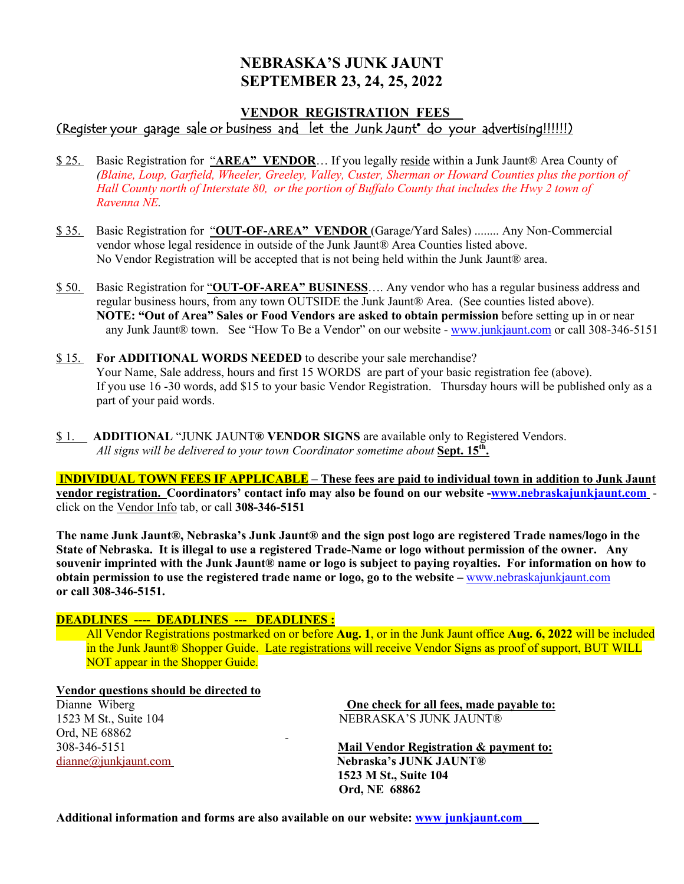## **NEBRASKA'S JUNK JAUNT SEPTEMBER 23, 24, 25, 2022**

### **VENDOR REGISTRATION FEES**\_\_ (Register your garage sale or business and let the Junk Jaunt® do your advertising!!!!!!)

- \$ 25. Basic Registration for "**AREA" VENDOR**… If you legally reside within a Junk Jaunt® Area County of *(Blaine, Loup, Garfield, Wheeler, Greeley, Valley, Custer, Sherman or Howard Counties plus the portion of Hall County north of Interstate 80, or the portion of Buffalo County that includes the Hwy 2 town of Ravenna NE.*
- \$ 35. Basic Registration for "**OUT-OF-AREA" VENDOR** (Garage/Yard Sales) ........ Any Non-Commercial vendor whose legal residence in outside of the Junk Jaunt® Area Counties listed above. No Vendor Registration will be accepted that is not being held within the Junk Jaunt® area.
- \$ 50. Basic Registration for "**OUT-OF-AREA" BUSINESS**…. Any vendor who has a regular business address and regular business hours, from any town OUTSIDE the Junk Jaunt® Area. (See counties listed above). **NOTE: "Out of Area" Sales or Food Vendors are asked to obtain permission** before setting up in or near any Junk Jaunt® town. See "How To Be a Vendor" on our website - www.junkjaunt.com or call 308-346-5151
- \$ 15. **For ADDITIONAL WORDS NEEDED** to describe your sale merchandise? Your Name, Sale address, hours and first 15 WORDS are part of your basic registration fee (above). If you use 16 -30 words, add \$15 to your basic Vendor Registration. Thursday hours will be published only as a part of your paid words.
- \$ 1. **ADDITIONAL** "JUNK JAUNT**® VENDOR SIGNS** are available only to Registered Vendors. *All signs will be delivered to your town Coordinator sometime about* **Sept. 15th.**

**INDIVIDUAL TOWN FEES IF APPLICABLE – These fees are paid to individual town in addition to Junk Jaunt vendor registration. Coordinators' contact info may also be found on our website -www.nebraskajunkjaunt.com** click on the Vendor Info tab, or call **308-346-5151** 

**The name Junk Jaunt®, Nebraska's Junk Jaunt® and the sign post logo are registered Trade names/logo in the State of Nebraska. It is illegal to use a registered Trade-Name or logo without permission of the owner. Any souvenir imprinted with the Junk Jaunt® name or logo is subject to paying royalties. For information on how to obtain permission to use the registered trade name or logo, go to the website –** www.nebraskajunkjaunt.com **or call 308-346-5151.**

#### **DEADLINES ---- DEADLINES --- DEADLINES :**

All Vendor Registrations postmarked on or before **Aug. 1**, or in the Junk Jaunt office **Aug. 6, 2022** will be included in the Junk Jaunt® Shopper Guide. Late registrations will receive Vendor Signs as proof of support, BUT WILL NOT appear in the Shopper Guide.

#### **Vendor questions should be directed to**

Ord, NE 68862

Dianne Wiberg **One check for all fees, made payable to:** 1523 M St., Suite 104 NEBRASKA'S JUNK JAUNT®

308-346-5151 **Mail Vendor Registration & payment to:** dianne@junkjaunt.com **Nebraska's JUNK JAUNT® 1523 M St., Suite 104 Ord, NE 68862**

**Additional information and forms are also available on our website: www junkjaunt.com**

 $\sim$